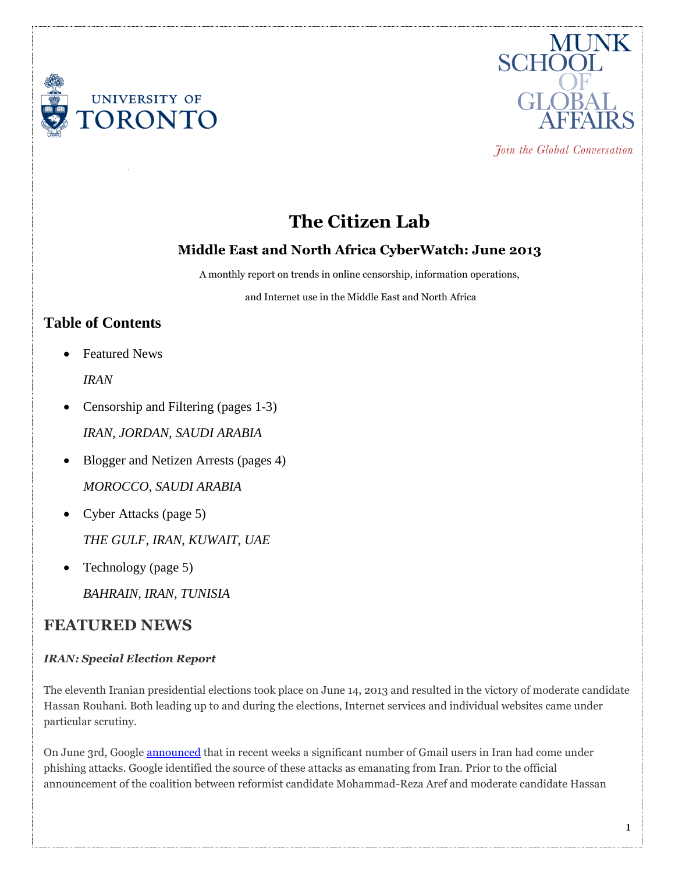



Join the Global Conversation

# **The Citizen Lab**

## **Middle East and North Africa CyberWatch: June 2013**

A monthly report on trends in online censorship, information operations,

and Internet use in the Middle East and North Africa

## **Table of Contents**

• Featured News

*IRAN*

- Censorship and Filtering (pages 1-3) *IRAN, JORDAN, SAUDI ARABIA*
- Blogger and Netizen Arrests (pages 4) *MOROCCO, SAUDI ARABIA*
- [Cyber Attacks](https://citizenlab.org/wp-admin/post.php?post=14622&action=edit#cyber) (page 5) *THE GULF, IRAN, KUWAIT, UAE*
- Technology (page 5) *BAHRAIN, IRAN, TUNISIA*

## **FEATURED NEWS**

### *IRAN: Special Election Report*

The eleventh Iranian presidential elections took place on June 14, 2013 and resulted in the victory of moderate candidate Hassan Rouhani. Both leading up to and during the elections, Internet services and individual websites came under particular scrutiny.

On June 3rd, Google [announced](http://ir.voanews.com/content/google-iranian-users-phishing-state-sponsor/1680797.html) that in recent weeks a significant number of Gmail users in Iran had come under phishing attacks. Google identified the source of these attacks as emanating from Iran. Prior to the official announcement of the coalition between reformist candidate Mohammad-Reza Aref and moderate candidate Hassan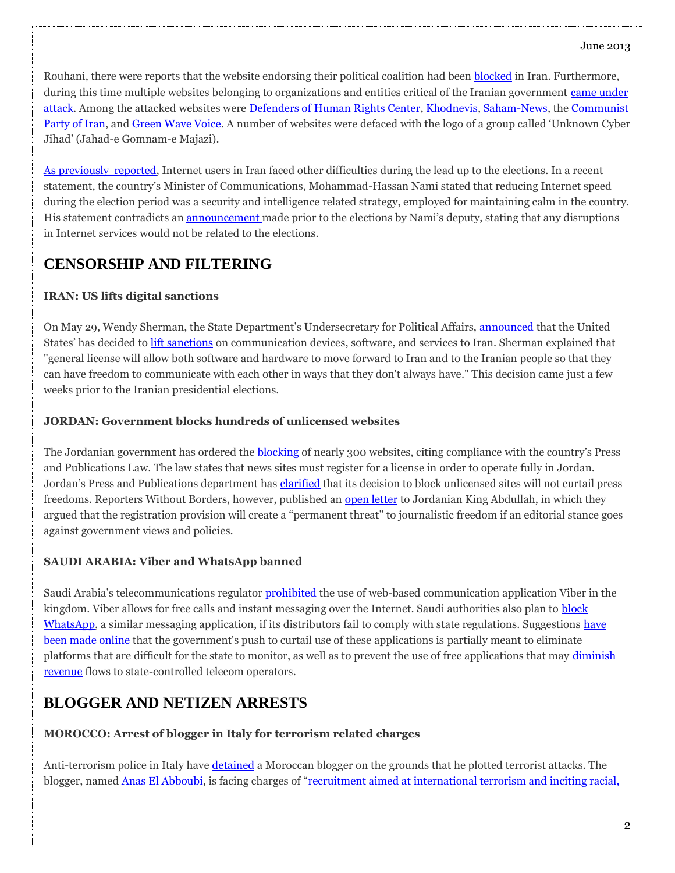Rouhani, there were reports that the website endorsing their political coalition had been [blocked](https://www.tribunezamaneh.com/archives/25247) in Iran. Furthermore, during this time multiple websites belonging to organizations and entities critical of the Iranian government [came under](http://www.bbc.co.uk/persian/iran/2013/06/130613_ir92_hack_site_nm.shtml)  [attack.](http://www.bbc.co.uk/persian/iran/2013/06/130613_ir92_hack_site_nm.shtml) Among the attacked websites were [Defenders of Human Rights Center,](http://www.humanrights-ir.org/english/) [Khodnevis,](https://khodnevis.org/) [Saham-News,](http://sahamnews.org/) the [Communist](http://www.cpiran.org/)  [Party of Iran,](http://www.cpiran.org/) and [Green Wave Voice](http://greenwavevoice.com/). A number of websites were defaced with the logo of a group called 'Unknown Cyber Jihad' (Jahad-e Gomnam-e Majazi).

[As previously reported,](https://citizenlab.org/2013/05/middle-east-and-north-africa-cyberwatch-may-2013/#censorship) Internet users in Iran faced other difficulties during the lead up to the elections. In a recent statement, the country's Minister of Communications, Mohammad-Hassan Nami stated that reducing Internet speed during the election period was a security and intelligence related strategy, employed for maintaining calm in the country. His statement contradicts an [announcement](http://www.radiofarda.com/content/f9_iran_communication_minister_confirms_internet_restrictions_related_election/25028352.html) made prior to the elections by Nami's deputy, stating that any disruptions in Internet services would not be related to the elections.

## **CENSORSHIP AND FILTERING**

## **IRAN: US lifts digital sanctions**

On May 29, Wendy Sherman, the State Department's Undersecretary for Political Affairs, [announced](http://www.bbc.co.uk/news/world-us-canada-22723722) that the United States' has decided to [lift sanctions](http://www.bbc.co.uk/persian/iran/2013/05/130529_l10_sherman_us_iran_sanctions.shtml) on communication devices, software, and services to Iran. Sherman explained that "general license will allow both software and hardware to move forward to Iran and to the Iranian people so that they can have freedom to communicate with each other in ways that they don't always have." This decision came just a few weeks prior to the Iranian presidential elections.

## **JORDAN: Government blocks hundreds of unlicensed websites**

The Jordanian government has ordered the **[blocking](http://www.csmonitor.com/World/Global-News/2013/0606/Why-Jordan-orders-ban-on-263-news-sites?nav=88-csm_category-secBlogs)** of nearly 300 websites, citing compliance with the country's Press and Publications Law. The law states that news sites must register for a license in order to operate fully in Jordan. Jordan's Press and Publications department has [clarified](http://www.petranews.gov.jo/nepras/2013/Jun/02/12000.htm) that its decision to block unlicensed sites will not curtail press freedoms. Reporters Without Borders, however, published an [open letter](http://en.rsf.org/jordan-letter-to-king-abdullah-about-18-06-2013,44791.html) to Jordanian King Abdullah, in which they argued that the registration provision will create a "permanent threat" to journalistic freedom if an editorial stance goes against government views and policies.

## **SAUDI ARABIA: Viber and WhatsApp banned**

Saudi Arabia's telecommunications regulator [prohibited](http://www.reuters.com/article/2013/06/05/us-saudi-viber-idUSBRE9540FH20130605) the use of web-based communication application Viber in the kingdom. Viber allows for free calls and instant messaging over the Internet. Saudi authorities also plan to [block](http://www.reuters.com/article/2013/06/16/us-saudi-internet-idUSBRE95F04R20130616)  [WhatsApp,](http://www.reuters.com/article/2013/06/16/us-saudi-internet-idUSBRE95F04R20130616) a similar messaging application, if its distributors fail to comply with state regulations. Suggestions have [been made online](http://qz.com/91292/saudi-arabia-bans-messaging-app-viber-whatsapp-and-skype-could-be-next/) that the government's push to curtail use of these applications is partially meant to eliminate platforms that are difficult for the state to monitor, as well as to prevent the use of free applications that may [diminish](http://www.pcmag.com/article2/0,2817,2420000,00.asp)  [revenue](http://www.pcmag.com/article2/0,2817,2420000,00.asp) flows to state-controlled telecom operators.

## **BLOGGER AND NETIZEN ARRESTS**

## **MOROCCO: Arrest of blogger in Italy for terrorism related charges**

Anti-terrorism police in Italy have [detained](http://post.jagran.com/moroccan-blogger-held-in-italy-1371109897) a Moroccan blogger on the grounds that he plotted terrorist attacks. The blogger, named **[Anas El Abboubi](http://www.bladi.net/anas-el-abboubi-terrorisme-sharia4italy.html)**, is facing charges of "recruitment aimed at international terrorism and inciting racial.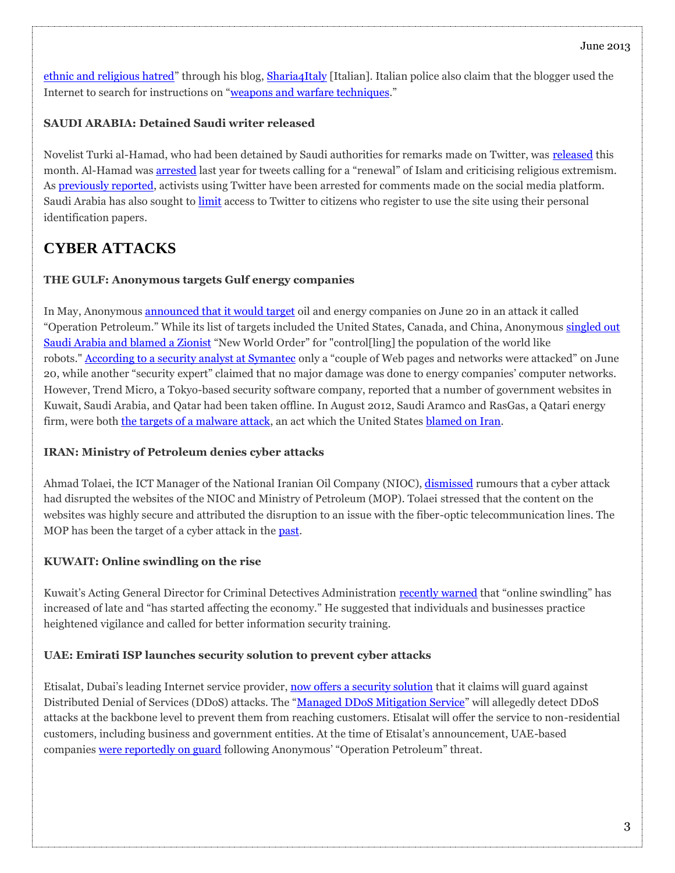[ethnic and religious hatred](http://zeenews.india.com/news/world/blogger-held-in-italy-for-plotting-jihad_854659.html)" through his blog, [Sharia4Italy](http://sharia4italy.blogspot.ca/) [Italian]. Italian police also claim that the blogger used the Internet to search for instructions on "[weapons and warfare techniques](http://www.adnkronos.com/IGN/Aki/English/Security/Italy-Police-arrest-Moroccan-blogger-for-plotting-Jihad_32288511447.html)."

### **SAUDI ARABIA: Detained Saudi writer released**

Novelist Turki al-Hamad, who had been detained by Saudi authorities for remarks made on Twitter, was [released](http://gulfnews.com/news/gulf/saudi-arabia/detained-saudi-writer-turki-al-hamad-freed-1.1193165) this month. Al-Hamad was [arrested](http://www.thestar.com.my/story.aspx?file=%2f2013%2f6%2f6%2fworldupdates%2fsaudis-release-writer-jailed-for-tweets-against-islamism-lawyer&sec=Worldupdates) last year for tweets calling for a "renewal" of Islam and criticising religious extremism. As [previously reported,](https://citizenlab.org/2013/04/middle-east-and-north-africa-cyberwatch-march-2013/#blogger) activists using Twitter have been arrested for comments made on the social media platform. Saudi Arabia has also sought to [limit](http://www.reuters.com/article/2013/03/30/us-saudi-twitter-idUSBRE92T02H20130330) access to Twitter to citizens who register to use the site using their personal identification papers.

## **CYBER ATTACKS**

#### **THE GULF: Anonymous targets Gulf energy companies**

In May, Anonymous [announced that it would target](http://www.youtube.com/watch?v=0zPxwSYM7m8) oil and energy companies on June 20 in an attack it called "Operation Petroleum." While its list of targets included the United States, Canada, and China, Anonymous singled out [Saudi Arabia and blamed a Zionist](http://www.timesofisrael.com/anonymous-gold-bugs-to-hack-oil-national-sites/) "New World Order" for "control[ling] the population of the world like robots." [According to a security analyst at Symantec](http://www.upi.com/Science_News/Technology/2013/06/24/Cyberattack-on-global-energy-falls-flat/UPI-22681372071008/) only a "couple of Web pages and networks were attacked" on June 20, while another "security expert" claimed that no major damage was done to energy companies' computer networks. However, Trend Micro, a Tokyo-based security software company, reported that a number of government websites in Kuwait, Saudi Arabia, and Qatar had been taken offline. In August 2012, Saudi Aramco and RasGas, a Qatari energy firm, were both [the targets of a malware attack,](https://citizenlab.org/2012/12/2012-year-in-review-cyberwatch/#cyberattacks) an act which the United States [blamed on Iran.](http://www.nytimes.com/2012/10/12/world/panetta-warns-of-dire-threat-of-cyberattack.html?_r=1&)

### **IRAN: Ministry of Petroleum denies cyber attacks**

Ahmad Tolaei, the ICT Manager of the National Iranian Oil Company (NIOC), [dismissed](http://www.dw.de/%D8%AD%D9%85%D9%84%D9%87-%D8%B3%D8%A7%DB%8C%D8%A8%D8%B1%DB%8C-%D8%A8%D9%87-%D9%88%D8%B2%D8%A7%D8%B1%D8%AA-%D9%86%D9%81%D8%AA-%D8%A7%DB%8C%D8%B1%D8%A7%D9%86-%D8%AA%DA%A9%D8%B0%DB%8C%D8%A8-%D8%B4%D8%AF/a-16900118) rumours that a cyber attack had disrupted the websites of the NIOC and Ministry of Petroleum (MOP). Tolaei stressed that the content on the websites was highly secure and attributed the disruption to an issue with the fiber-optic telecommunication lines. The MOP has been the target of a cyber attack in the [past.](http://www.dw.de/%D8%B5%D9%86%D8%B9%D8%AA-%D9%86%D9%81%D8%AA-%D8%A7%DB%8C%D8%B1%D8%A7%D9%86-%D8%A8%D8%A7%D8%B1-%D8%AF%DB%8C%DA%AF%D8%B1-%D9%87%D8%AF%D9%81-%D8%AD%D9%85%D9%84%D8%A7%D8%AA-%D8%B3%D8%A7%DB%8C%D8%A8%D8%B1%DB%8C-%D9%82%D8%B1%D8%A7%D8%B1-%DA%AF%D8%B1%D9%81%D8%AA/a-16292610-1)

### **KUWAIT: Online swindling on the rise**

Kuwait's Acting General Director for Criminal Detectives Administration [recently warned](http://news.kuwaittimes.net/online-swindling-on-rise-in-kuwait-official/) that "online swindling" has increased of late and "has started affecting the economy." He suggested that individuals and businesses practice heightened vigilance and called for better information security training.

#### **UAE: Emirati ISP launches security solution to prevent cyber attacks**

Etisalat, Dubai's leading Internet service provider, [now offers a security solution](http://www.emirates247.com/business/etisalat-defence-to-protect-businesses-from-cyber-attacks-2013-06-19-1.510975) that it claims will guard against Distributed Denial of Services (DDoS) attacks. The "[Managed DDoS Mitigation Service](http://www.etisalat.ae/en/business/products-and-services/services/managed-services/managed-ddos-service-overview.jsp)" will allegedly detect DDoS attacks at the backbone level to prevent them from reaching customers. Etisalat will offer the service to non-residential customers, including business and government entities. At the time of Etisalat's announcement, UAE-based companies [were reportedly on guard](http://www.thenational.ae/news/uae-news/uae-on-high-alert-for-oil-protest-hackers) following Anonymous' "Operation Petroleum" threat.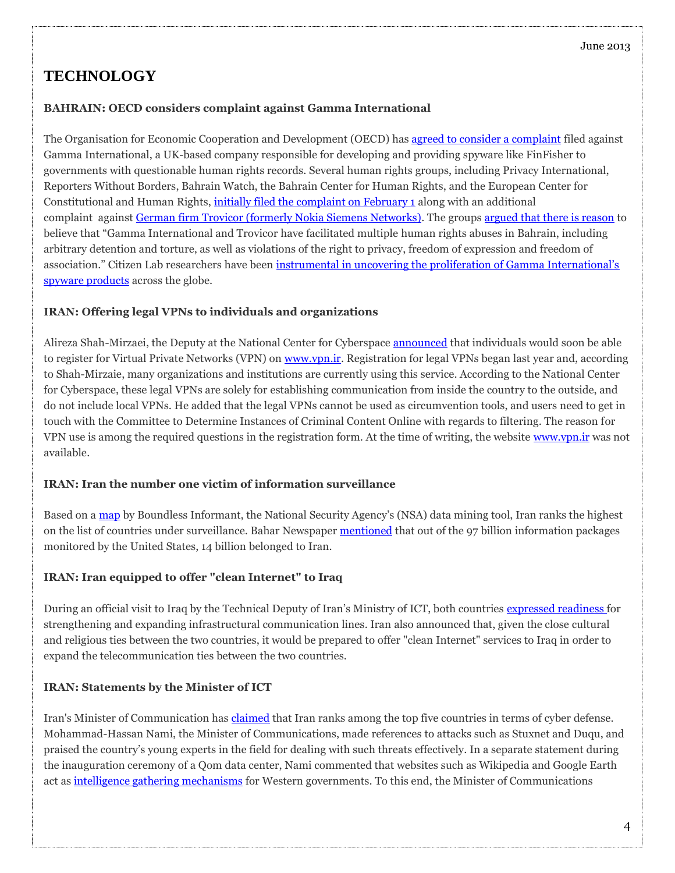## **TECHNOLOGY**

#### **BAHRAIN: OECD considers complaint against Gamma International**

The Organisation for Economic Cooperation and Development (OECD) has [agreed to consider a complaint](http://en.rsf.org/bahrein-oecd-complaint-filed-by-human-24-06-2013,44797.html) filed against Gamma International, a UK-based company responsible for developing and providing spyware like FinFisher to governments with questionable human rights records. Several human rights groups, including Privacy International, Reporters Without Borders, Bahrain Watch, the Bahrain Center for Human Rights, and the European Center for Constitutional and Human Rights, [initially filed the complaint on February 1](http://en.rsf.org/bahrein-human-rights-organisations-filed-04-02-2013,44016.html) along with an additional complaint against [German firm Trovicor \(formerly Nokia Siemens Networks\).](http://surveillance.rsf.org/en/trovicor/) The groups [argued that there is reason](http://en.rsf.org/bahrein-human-rights-organisations-filed-04-02-2013,44016.html) to believe that "Gamma International and Trovicor have facilitated multiple human rights abuses in Bahrain, including arbitrary detention and torture, as well as violations of the right to privacy, freedom of expression and freedom of association." Citizen Lab researchers have been [instrumental in uncovering the proliferation of Gamma International's](https://citizenlab.org/2013/03/you-only-click-twice-finfishers-global-proliferation-2/)  [spyware products](https://citizenlab.org/2013/03/you-only-click-twice-finfishers-global-proliferation-2/) across the globe.

#### **IRAN: Offering legal VPNs to individuals and organizations**

Alireza Shah-Mirzaei, the Deputy at the National Center for Cyberspace [announced](http://www.mehrnews.com/detail/News/2071233) that individuals would soon be able to register for Virtual Private Networks (VPN) on [www.vpn.ir.](http://www.vpn.ir/) Registration for legal VPNs began last year and, according to Shah-Mirzaie, many organizations and institutions are currently using this service. According to the National Center for Cyberspace, these legal VPNs are solely for establishing communication from inside the country to the outside, and do not include local VPNs. He added that the legal VPNs cannot be used as circumvention tools, and users need to get in touch with the Committee to Determine Instances of Criminal Content Online with regards to filtering. The reason for VPN use is among the required questions in the registration form. At the time of writing, the website [www.vpn.ir](https://citizenlab.org/wp-admin/www.vpn.ir) was not available.

#### **IRAN: Iran the number one victim of information surveillance**

Based on a [map](http://www.guardian.co.uk/world/2013/jun/08/nsa-boundless-informant-global-datamining) by Boundless Informant, the National Security Agency's (NSA) data mining tool, Iran ranks the highest on the list of countries under surveillance. Bahar Newspaper [mentioned](http://www.baharnewspaper.com/News/92/03/21/12821.html) that out of the 97 billion information packages monitored by the United States, 14 billion belonged to Iran.

### **IRAN: Iran equipped to offer "clean Internet" to Iraq**

During an official visit to Iraq by the Technical Deputy of Iran's Ministry of ICT, both countries [expressed readiness](http://khabarfarsi.com/ext/5632567) for strengthening and expanding infrastructural communication lines. Iran also announced that, given the close cultural and religious ties between the two countries, it would be prepared to offer "clean Internet" services to Iraq in order to expand the telecommunication ties between the two countries.

### **IRAN: Statements by the Minister of ICT**

Iran's Minister of Communication has [claimed](http://itna.ir/vdch6mni.23n-qdftt2.html) that Iran ranks among the top five countries in terms of cyber defense. Mohammad-Hassan Nami, the Minister of Communications, made references to attacks such as Stuxnet and Duqu, and praised the country's young experts in the field for dealing with such threats effectively. In a separate statement during the inauguration ceremony of a Qom data center, Nami commented that websites such as Wikipedia and Google Earth act as [intelligence gathering mechanisms](http://itna.ir/vdcepn8w.jh8ppi9bbj.html) for Western governments. To this end, the Minister of Communications